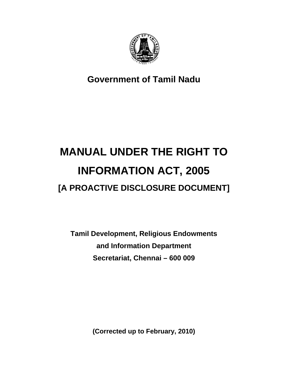

**Government of Tamil Nadu** 

# **MANUAL UNDER THE RIGHT TO INFORMATION ACT, 2005 [A PROACTIVE DISCLOSURE DOCUMENT]**

**Tamil Development, Religious Endowments and Information Department Secretariat, Chennai – 600 009** 

**(Corrected up to February, 2010)**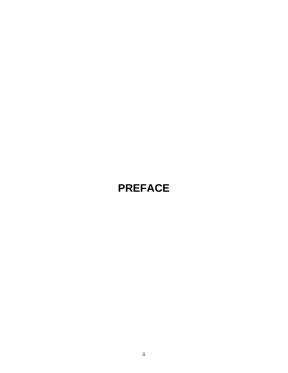# **PREFACE**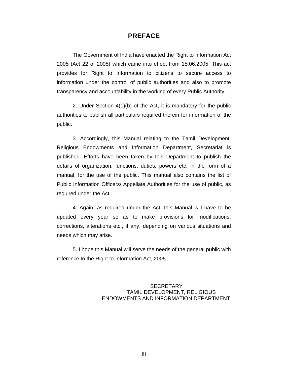#### **PREFACE**

The Government of India have enacted the Right to Information Act 2005 (Act 22 of 2005) which came into effect from 15.06.2005. This act provides for Right to Information to citizens to secure access to information under the control of public authorities and also to promote transparency and accountability in the working of every Public Authority.

2. Under Section 4(1)(b) of the Act, it is mandatory for the public authorities to publish all particulars required therein for information of the public.

3. Accordingly, this Manual relating to the Tamil Development, Religious Endowments and Information Department, Secretariat is published. Efforts have been taken by this Department to publish the details of organization, functions, duties, powers etc. in the form of a manual, for the use of the public. This manual also contains the list of Public Information Officers/ Appellate Authorities for the use of public, as required under the Act.

4. Again, as required under the Act, this Manual will have to be updated every year so as to make provisions for modifications, corrections, alterations etc., if any, depending on various situations and needs which may arise.

5. I hope this Manual will serve the needs of the general public with reference to the Right to Information Act, 2005.

#### **SECRETARY**  TAMIL DEVELOPMENT, RELIGIOUS ENDOWMENTS AND INFORMATION DEPARTMENT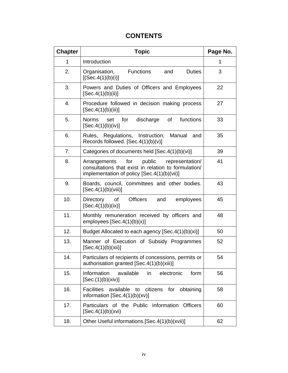### **CONTENTS**

| <b>Chapter</b> | <b>Topic</b>                                                                                                                                            | Page No. |
|----------------|---------------------------------------------------------------------------------------------------------------------------------------------------------|----------|
| 1              | Introduction                                                                                                                                            | 1        |
| 2.             | Organisation,<br>Functions<br><b>Duties</b><br>and<br>[(Sec.4(1)(b)(i)]                                                                                 | 3        |
| 3.             | Powers and Duties of Officers and Employees<br>[Sec.4(1)(b)(ii)]                                                                                        | 22       |
| 4.             | Procedure followed in decision making process<br>[Sec.4(1)(b)(iii)]                                                                                     | 27       |
| 5.             | for discharge<br>of functions<br><b>Norms</b><br>set<br>[Sec.4(1)(b)(iv)]                                                                               | 33       |
| 6.             | Rules, Regulations, Instruction, Manual<br>and<br>Records followed. [Sec.4(1)(b)(v)]                                                                    | 35       |
| 7.             | Categories of documents held [Sec.4(1)(b)(vi)]                                                                                                          | 39       |
| 8.             | public<br>Arrangements<br>for<br>representation/<br>consultations that exist in relation to formulation/<br>implementation of policy [Sec.4(1)(b)(vii)] | 41       |
| 9.             | Boards, council, committees and other bodies.<br>[Sec.4(1)(b)(viii)]                                                                                    | 43       |
| 10.            | Officers<br>Directory<br>of<br>employees<br>and<br>[Sec.4(1)(b)(ix)]                                                                                    | 45       |
| 11.            | Monthly remuneration received by officers and<br>employees $[Sec.4(1)(b)(x)]$                                                                           | 48       |
| 12.            | Budget Allocated to each agency [Sec.4(1)(b)(xi)]                                                                                                       | 50       |
| 13.            | Manner of Execution of Subsidy Programmes<br>[Sec.4(1)(b)(xii)]                                                                                         | 52       |
| 14.            | Particulars of recipients of concessions, permits or<br>authorisation granted [Sec.4(1)(b)(xiii)]                                                       | 54       |
| 15.            | Information<br>available<br>electronic<br>form<br>in<br>[Sec.(1)(b)(xiv)]                                                                               | 56       |
| 16.            | <b>Facilities</b><br>available<br>citizens<br>for<br>obtaining<br>to<br>information $[Sec.4(1)(b)(xv)]$                                                 | 58       |
| 17.            | Particulars of the Public Information<br><b>Officers</b><br>[Sec.4(1)(b)(xvi)]                                                                          | 60       |
| 18.            | Other Useful informations. [Sec. 4(1)(b)(xvii)]                                                                                                         | 62       |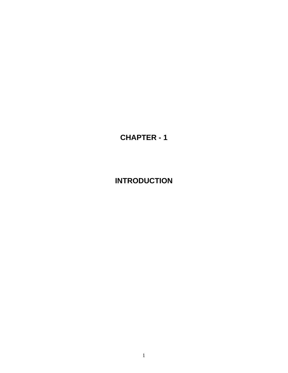### **CHAPTER - 1**

### **INTRODUCTION**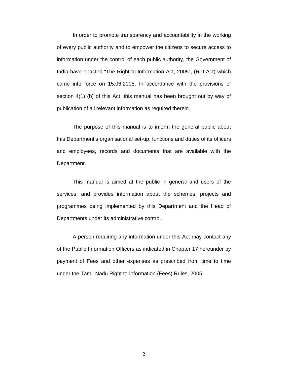In order to promote transparency and accountability in the working of every public authority and to empower the citizens to secure access to information under the control of each public authority, the Government of India have enacted "The Right to Information Act, 2005", (RTI Act) which came into force on 15.06.2005. In accordance with the provisions of section 4(1) (b) of this Act, this manual has been brought out by way of publication of all relevant information as required therein.

The purpose of this manual is to inform the general public about this Department's organisational set-up, functions and duties of its officers and employees, records and documents that are available with the Department.

This manual is aimed at the public in general and users of the services, and provides information about the schemes, projects and programmes being implemented by this Department and the Head of Departments under its administrative control.

A person requiring any information under this Act may contact any of the Public Information Officers as indicated in Chapter 17 hereunder by payment of Fees and other expenses as prescribed from time to time under the Tamil Nadu Right to Information (Fees) Rules, 2005.

2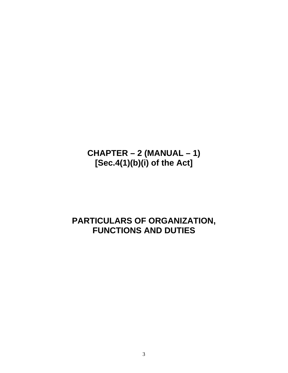### **CHAPTER – 2 (MANUAL – 1) [Sec.4(1)(b)(i) of the Act]**

### **PARTICULARS OF ORGANIZATION, FUNCTIONS AND DUTIES**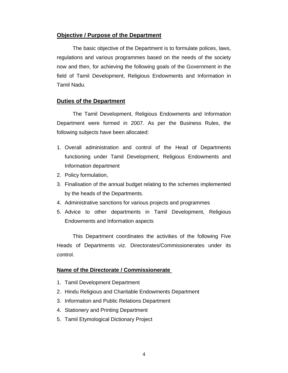#### **Objective / Purpose of the Department**

The basic objective of the Department is to formulate polices, laws, regulations and various programmes based on the needs of the society now and then, for achieving the following goals of the Government in the field of Tamil Development, Religious Endowments and Information in Tamil Nadu.

#### **Duties of the Department**

The Tamil Development, Religious Endowments and Information Department were formed in 2007. As per the Business Rules, the following subjects have been allocated:

- 1. Overall administration and control of the Head of Departments functioning under Tamil Development, Religious Endowments and Information department
- 2. Policy formulation,
- 3. Finalisation of the annual budget relating to the schemes implemented by the heads of the Departments.
- 4. Administrative sanctions for various projects and programmes
- 5. Advice to other departments in Tamil Development, Religious Endowments and Information aspects

This Department coordinates the activities of the following Five Heads of Departments viz. Directorates/Commissionerates under its control.

#### **Name of the Directorate / Commissionerate**

- 1. Tamil Development Department
- 2. Hindu Religious and Charitable Endowments Department
- 3. Information and Public Relations Department
- 4. Stationery and Printing Department
- 5. Tamil Etymological Dictionary Project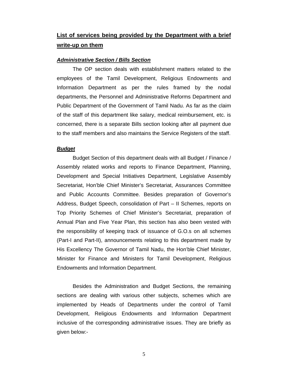### **List of services being provided by the Department with a brief write-up on them**

#### *Administrative Section / Bills Section*

The OP section deals with establishment matters related to the employees of the Tamil Development, Religious Endowments and Information Department as per the rules framed by the nodal departments, the Personnel and Administrative Reforms Department and Public Department of the Government of Tamil Nadu. As far as the claim of the staff of this department like salary, medical reimbursement, etc. is concerned, there is a separate Bills section looking after all payment due to the staff members and also maintains the Service Registers of the staff.

#### *Budget*

Budget Section of this department deals with all Budget / Finance / Assembly related works and reports to Finance Department, Planning, Development and Special Initiatives Department, Legislative Assembly Secretariat, Hon'ble Chief Minister's Secretariat, Assurances Committee and Public Accounts Committee. Besides preparation of Governor's Address, Budget Speech, consolidation of Part – II Schemes, reports on Top Priority Schemes of Chief Minister's Secretariat, preparation of Annual Plan and Five Year Plan, this section has also been vested with the responsibility of keeping track of issuance of G.O.s on all schemes (Part-I and Part-II), announcements relating to this department made by His Excellency The Governor of Tamil Nadu, the Hon'ble Chief Minister, Minister for Finance and Ministers for Tamil Development, Religious Endowments and Information Department.

Besides the Administration and Budget Sections, the remaining sections are dealing with various other subjects, schemes which are implemented by Heads of Departments under the control of Tamil Development, Religious Endowments and Information Department inclusive of the corresponding administrative issues. They are briefly as given below:-

5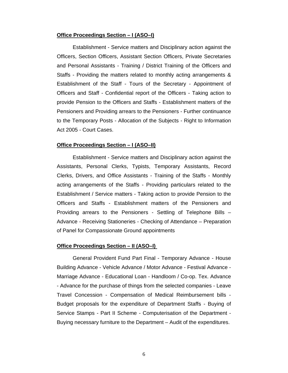#### **Office Proceedings Section – I (ASO–I)**

Establishment - Service matters and Disciplinary action against the Officers, Section Officers, Assistant Section Officers, Private Secretaries and Personal Assistants - Training / District Training of the Officers and Staffs - Providing the matters related to monthly acting arrangements & Establishment of the Staff - Tours of the Secretary - Appointment of Officers and Staff - Confidential report of the Officers - Taking action to provide Pension to the Officers and Staffs - Establishment matters of the Pensioners and Providing arrears to the Pensioners - Further continuance to the Temporary Posts - Allocation of the Subjects - Right to Information Act 2005 - Court Cases.

#### **Office Proceedings Section – I (ASO–II)**

Establishment - Service matters and Disciplinary action against the Assistants, Personal Clerks, Typists, Temporary Assistants, Record Clerks, Drivers, and Office Assistants - Training of the Staffs - Monthly acting arrangements of the Staffs - Providing particulars related to the Establishment / Service matters - Taking action to provide Pension to the Officers and Staffs - Establishment matters of the Pensioners and Providing arrears to the Pensioners - Settling of Telephone Bills – Advance - Receiving Stationeries - Checking of Attendance – Preparation of Panel for Compassionate Ground appointments

#### **Office Proceedings Section – II (ASO–I)**

General Provident Fund Part Final - Temporary Advance - House Building Advance - Vehicle Advance / Motor Advance - Festival Advance - Marriage Advance - Educational Loan - Handloom / Co-op. Tex. Advance - Advance for the purchase of things from the selected companies - Leave Travel Concession - Compensation of Medical Reimbursement bills - Budget proposals for the expenditure of Department Staffs - Buying of Service Stamps - Part II Scheme - Computerisation of the Department - Buying necessary furniture to the Department – Audit of the expenditures.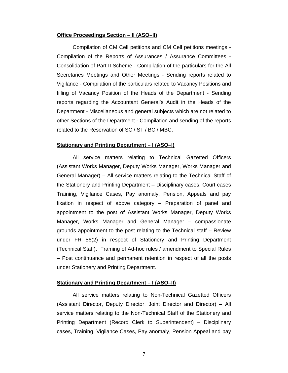#### **Office Proceedings Section – II (ASO–II)**

Compilation of CM Cell petitions and CM Cell petitions meetings - Compilation of the Reports of Assurances / Assurance Committees - Consolidation of Part II Scheme - Compilation of the particulars for the All Secretaries Meetings and Other Meetings - Sending reports related to Vigilance - Compilation of the particulars related to Vacancy Positions and filling of Vacancy Position of the Heads of the Department - Sending reports regarding the Accountant General's Audit in the Heads of the Department - Miscellaneous and general subjects which are not related to other Sections of the Department - Compilation and sending of the reports related to the Reservation of SC / ST / BC / MBC.

#### **Stationary and Printing Department – I (ASO–I)**

All service matters relating to Technical Gazetted Officers (Assistant Works Manager, Deputy Works Manager, Works Manager and General Manager) – All service matters relating to the Technical Staff of the Stationery and Printing Department – Disciplinary cases, Court cases Training, Vigilance Cases, Pay anomaly, Pension, Appeals and pay fixation in respect of above category – Preparation of panel and appointment to the post of Assistant Works Manager, Deputy Works Manager, Works Manager and General Manager – compassionate grounds appointment to the post relating to the Technical staff – Review under FR 56(2) in respect of Stationery and Printing Department (Technical Staff). Framing of Ad-hoc rules / amendment to Special Rules – Post continuance and permanent retention in respect of all the posts under Stationery and Printing Department.

#### **Stationary and Printing Department – I (ASO–II)**

All service matters relating to Non-Technical Gazetted Officers (Assistant Director, Deputy Director, Joint Director and Director) – All service matters relating to the Non-Technical Staff of the Stationery and Printing Department (Record Clerk to Superintendent) – Disciplinary cases, Training, Vigilance Cases, Pay anomaly, Pension Appeal and pay

7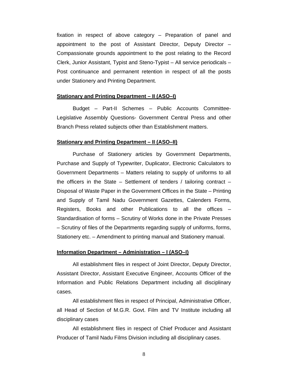fixation in respect of above category – Preparation of panel and appointment to the post of Assistant Director, Deputy Director – Compassionate grounds appointment to the post relating to the Record Clerk, Junior Assistant, Typist and Steno-Typist – All service periodicals – Post continuance and permanent retention in respect of all the posts under Stationery and Printing Department.

#### **Stationary and Printing Department – II (ASO–I)**

Budget – Part-II Schemes – Public Accounts Committee-Legislative Assembly Questions- Government Central Press and other Branch Press related subjects other than Establishment matters.

#### **Stationary and Printing Department – II (ASO–II)**

Purchase of Stationery articles by Government Departments, Purchase and Supply of Typewriter, Duplicator, Electronic Calculators to Government Departments – Matters relating to supply of uniforms to all the officers in the State – Settlement of tenders / tailoring contract – Disposal of Waste Paper in the Government Offices in the State – Printing and Supply of Tamil Nadu Government Gazettes, Calenders Forms, Registers, Books and other Publications to all the offices – Standardisation of forms – Scrutiny of Works done in the Private Presses – Scrutiny of files of the Departments regarding supply of uniforms, forms, Stationery etc. – Amendment to printing manual and Stationery manual.

#### **Information Department – Administration – I (ASO–I)**

All establishment files in respect of Joint Director, Deputy Director, Assistant Director, Assistant Executive Engineer, Accounts Officer of the Information and Public Relations Department including all disciplinary cases.

All establishment files in respect of Principal, Administrative Officer, all Head of Section of M.G.R. Govt. Film and TV Institute including all disciplinary cases

All establishment files in respect of Chief Producer and Assistant Producer of Tamil Nadu Films Division including all disciplinary cases.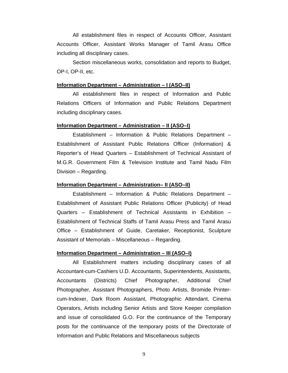All establishment files in respect of Accounts Officer, Assistant Accounts Officer, Assistant Works Manager of Tamil Arasu Office including all disciplinary cases.

Section miscellaneous works, consolidation and reports to Budget, OP-I, OP-II, etc.

#### **Information Department – Administration – I (ASO–II)**

 All establishment files in respect of Information and Public Relations Officers of Information and Public Relations Department including disciplinary cases.

#### **Information Department – Administration – II (ASO–I)**

 Establishment – Information & Public Relations Department – Establishment of Assistant Public Relations Officer (Information) & Reporter's of Head Quarters – Establishment of Technical Assistant of M.G.R. Government Film & Television Institute and Tamil Nadu Film Division – Regarding.

#### **Information Department – Administration– II (ASO–II)**

 Establishment – Information & Public Relations Department – Establishment of Assistant Public Relations Officer (Publicity) of Head Quarters – Establishment of Technical Assistants in Exhibition – Establishment of Technical Staffs of Tamil Arasu Press and Tamil Arasu Office – Establishment of Guide, Caretaker, Receptionist, Sculpture Assistant of Memorials – Miscellaneous – Regarding.

#### **Information Department – Administration – III (ASO–I)**

 All Establishment matters including disciplinary cases of all Accountant-cum-Cashiers U.D. Accountants, Superintendents, Assistants, Accountants (Districts) Chief Photographer, Additional Chief Photographer, Assistant Photographers, Photo Artists, Bromide Printercum-Indexer, Dark Room Assistant, Photographic Attendant, Cinema Operators, Artists including Senior Artists and Store Keeper compilation and issue of consolidated G.O. For the continuance of the Temporary posts for the continuance of the temporary posts of the Directorate of Information and Public Relations and Miscellaneous subjects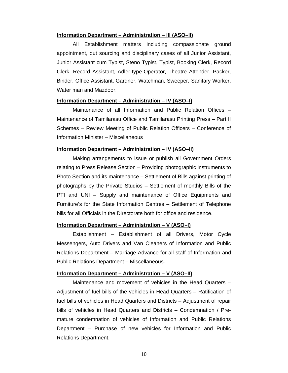#### **Information Department – Administration – III (ASO–II)**

 All Establishment matters including compassionate ground appointment, out sourcing and disciplinary cases of all Junior Assistant, Junior Assistant cum Typist, Steno Typist, Typist, Booking Clerk, Record Clerk, Record Assistant, Adler-type-Operator, Theatre Attender, Packer, Binder, Office Assistant, Gardner, Watchman, Sweeper, Sanitary Worker, Water man and Mazdoor.

#### **Information Department – Administration – IV (ASO–I)**

 Maintenance of all Information and Public Relation Offices – Maintenance of Tamilarasu Office and Tamilarasu Printing Press – Part II Schemes – Review Meeting of Public Relation Officers – Conference of Information Minister – Miscellaneous

#### **Information Department – Administration – IV (ASO–II)**

 Making arrangements to issue or publish all Government Orders relating to Press Release Section – Providing photographic instruments to Photo Section and its maintenance – Settlement of Bills against printing of photographs by the Private Studios – Settlement of monthly Bills of the PTI and UNI – Supply and maintenance of Office Equipments and Furniture's for the State Information Centres – Settlement of Telephone bills for all Officials in the Directorate both for office and residence.

#### **Information Department – Administration – V (ASO–I)**

 Establishment – Establishment of all Drivers, Motor Cycle Messengers, Auto Drivers and Van Cleaners of Information and Public Relations Department – Marriage Advance for all staff of Information and Public Relations Department – Miscellaneous.

#### **Information Department – Administration – V (ASO–II)**

 Maintenance and movement of vehicles in the Head Quarters – Adjustment of fuel bills of the vehicles in Head Quarters – Ratification of fuel bills of vehicles in Head Quarters and Districts – Adjustment of repair bills of vehicles in Head Quarters and Districts – Condemnation / Premature condemnation of vehicles of Information and Public Relations Department – Purchase of new vehicles for Information and Public Relations Department.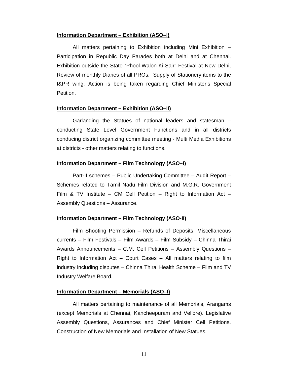#### **Information Department – Exhibition (ASO–I)**

 All matters pertaining to Exhibition including Mini Exhibition – Participation in Republic Day Parades both at Delhi and at Chennai. Exhibition outside the State "Phool-Walon Ki-Sair" Festival at New Delhi, Review of monthly Diaries of all PROs. Supply of Stationery items to the I&PR wing. Action is being taken regarding Chief Minister's Special Petition.

#### **Information Department – Exhibition (ASO–II)**

 Garlanding the Statues of national leaders and statesman – conducting State Level Government Functions and in all districts conducing district organizing committee meeting - Multi Media Exhibitions at districts - other matters relating to functions.

#### **Information Department – Film Technology (ASO–I)**

 Part-II schemes – Public Undertaking Committee – Audit Report – Schemes related to Tamil Nadu Film Division and M.G.R. Government Film & TV Institute – CM Cell Petition – Right to Information Act – Assembly Questions – Assurance.

#### **Information Department – Film Technology (ASO-II)**

Film Shooting Permission – Refunds of Deposits, Miscellaneous currents – Film Festivals – Film Awards – Film Subsidy – Chinna Thirai Awards Announcements – C.M. Cell Petitions – Assembly Questions – Right to Information  $Act - Court$  Cases – All matters relating to film industry including disputes – Chinna Thirai Health Scheme – Film and TV Industry Welfare Board.

#### **Information Department – Memorials (ASO–I)**

 All matters pertaining to maintenance of all Memorials, Arangams (except Memorials at Chennai, Kancheepuram and Vellore). Legislative Assembly Questions, Assurances and Chief Minister Cell Petitions. Construction of New Memorials and Installation of New Statues.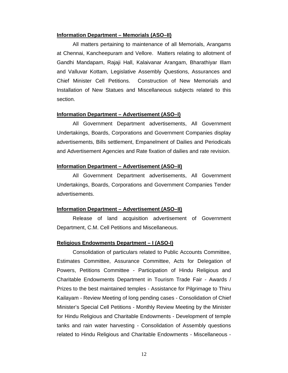#### **Information Department – Memorials (ASO–II)**

 All matters pertaining to maintenance of all Memorials, Arangams at Chennai, Kancheepuram and Vellore. Matters relating to allotment of Gandhi Mandapam, Rajaji Hall, Kalaivanar Arangam, Bharathiyar Illam and Valluvar Kottam, Legislative Assembly Questions, Assurances and Chief Minister Cell Petitions. Construction of New Memorials and Installation of New Statues and Miscellaneous subjects related to this section.

#### **Information Department – Advertisement (ASO–I)**

 All Government Department advertisements, All Government Undertakings, Boards, Corporations and Government Companies display advertisements, Bills settlement, Empanelment of Dailies and Periodicals and Advertisement Agencies and Rate fixation of dailies and rate revision.

#### **Information Department – Advertisement (ASO–II)**

 All Government Department advertisements, All Government Undertakings, Boards, Corporations and Government Companies Tender advertisements.

#### **Information Department – Advertisement (ASO–II)**

 Release of land acquisition advertisement of Government Department, C.M. Cell Petitions and Miscellaneous.

#### **Religious Endowments Department – I (ASO-I)**

Consolidation of particulars related to Public Accounts Committee, Estimates Committee, Assurance Committee, Acts for Delegation of Powers, Petitions Committee - Participation of Hindu Religious and Charitable Endowments Department in Tourism Trade Fair - Awards / Prizes to the best maintained temples - Assistance for Pilgrimage to Thiru Kailayam - Review Meeting of long pending cases - Consolidation of Chief Minister's Special Cell Petitions - Monthly Review Meeting by the Minister for Hindu Religious and Charitable Endowments - Development of temple tanks and rain water harvesting - Consolidation of Assembly questions related to Hindu Religious and Charitable Endowments - Miscellaneous -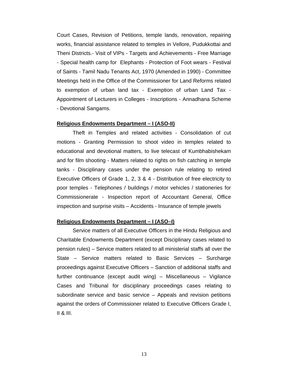Court Cases, Revision of Petitions, temple lands, renovation, repairing works, financial assistance related to temples in Vellore, Pudukkottai and Theni Districts.- Visit of VIPs - Targets and Achievements - Free Marriage - Special health camp for Elephants - Protection of Foot wears - Festival of Saints - Tamil Nadu Tenants Act, 1970 (Amended in 1990) - Committee Meetings held in the Office of the Commissioner for Land Reforms related to exemption of urban land tax - Exemption of urban Land Tax - Appointment of Lecturers in Colleges - Inscriptions - Annadhana Scheme - Devotional Sangams.

#### **Religious Endowments Department – I (ASO-II)**

Theft in Temples and related activities - Consolidation of cut motions - Granting Permission to shoot video in temples related to educational and devotional matters, to live telecast of Kumbhabishekam and for film shooting - Matters related to rights on fish catching in temple tanks - Disciplinary cases under the pension rule relating to retired Executive Officers of Grade 1, 2, 3 & 4 - Distribution of free electricity to poor temples - Telephones / buildings / motor vehicles / stationeries for Commissionerate - Inspection report of Accountant General, Office inspection and surprise visits – Accidents - Insurance of temple jewels

#### **Religious Endowments Department – I (ASO–I)**

Service matters of all Executive Officers in the Hindu Religious and Charitable Endowments Department (except Disciplinary cases related to pension rules) – Service matters related to all ministerial staffs all over the State – Service matters related to Basic Services – Surcharge proceedings against Executive Officers – Sanction of additional staffs and further continuance (except audit wing) – Miscellaneous – Vigilance Cases and Tribunal for disciplinary proceedings cases relating to subordinate service and basic service – Appeals and revision petitions against the orders of Commissioner related to Executive Officers Grade I, II & III.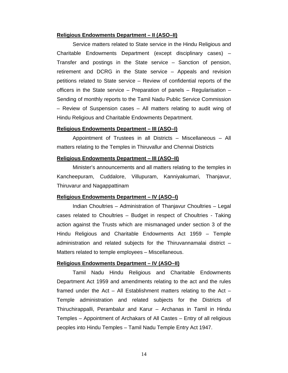#### **Religious Endowments Department – II (ASO–II)**

 Service matters related to State service in the Hindu Religious and Charitable Endowments Department (except disciplinary cases) – Transfer and postings in the State service – Sanction of pension, retirement and DCRG in the State service – Appeals and revision petitions related to State service – Review of confidential reports of the officers in the State service – Preparation of panels – Regularisation – Sending of monthly reports to the Tamil Nadu Public Service Commission – Review of Suspension cases – All matters relating to audit wing of Hindu Religious and Charitable Endowments Department.

#### **Religious Endowments Department – III (ASO–I)**

Appointment of Trustees in all Districts – Miscellaneous – All matters relating to the Temples in Thiruvallur and Chennai Districts

#### **Religious Endowments Department – III (ASO–II)**

Minister's announcements and all matters relating to the temples in Kancheepuram, Cuddalore, Villupuram, Kanniyakumari, Thanjavur, Thiruvarur and Nagappattinam

#### **Religious Endowments Department – IV (ASO–I)**

 Indian Choultries – Administration of Thanjavur Choultries – Legal cases related to Choultries – Budget in respect of Choultries - Taking action against the Trusts which are mismanaged under section 3 of the Hindu Religious and Charitable Endowments Act 1959 – Temple administration and related subjects for the Thiruvannamalai district – Matters related to temple employees – Miscellaneous.

#### **Religious Endowments Department – IV (ASO–II)**

 Tamil Nadu Hindu Religious and Charitable Endowments Department Act 1959 and amendments relating to the act and the rules framed under the Act  $-$  All Establishment matters relating to the Act  $-$ Temple administration and related subjects for the Districts of Thiruchirappalli, Perambalur and Karur – Archanas in Tamil in Hindu Temples – Appointment of Archakars of All Castes – Entry of all religious peoples into Hindu Temples – Tamil Nadu Temple Entry Act 1947.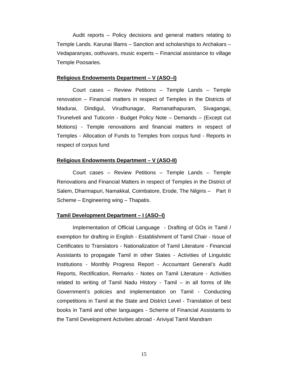Audit reports – Policy decisions and general matters relating to Temple Lands. Karunai Illams – Sanction and scholarships to Archakars – Vedaparanyas, oothuvars, music experts – Financial assistance to village Temple Poosaries.

#### **Religious Endowments Department – V (ASO–I)**

 Court cases – Review Petitions – Temple Lands – Temple renovation – Financial matters in respect of Temples in the Districts of Madurai, Dindigul, Virudhunagar, Ramanathapuram, Sivagangai, Tirunelveli and Tuticorin - Budget Policy Note – Demands – (Except cut Motions) - Temple renovations and financial matters in respect of Temples - Allocation of Funds to Temples from corpus fund - Reports in respect of corpus fund

#### **Religious Endowments Department – V (ASO-II)**

 Court cases – Review Petitions – Temple Lands – Temple Renovations and Financial Matters in respect of Temples in the District of Salem, Dharmapuri, Namakkal, Coimbatore, Erode, The Nilgiris – Part II Scheme – Engineering wing – Thapatis.

#### **Tamil Development Department – I (ASO–I)**

 Implementation of Official Language - Drafting of GOs in Tamil / exemption for drafting in English - Establishment of Tamil Chair - Issue of Certificates to Translators - Nationalization of Tamil Literature - Financial Assistants to propagate Tamil in other States - Activities of Linguistic Institutions - Monthly Progress Report - Accountant General's Audit Reports, Rectification, Remarks - Notes on Tamil Literature - Activities related to writing of Tamil Nadu History - Tamil – in all forms of life Government's policies and implementation on Tamil - Conducting competitions in Tamil at the State and District Level - Translation of best books in Tamil and other languages - Scheme of Financial Assistants to the Tamil Development Activities abroad - Ariviyal Tamil Mandram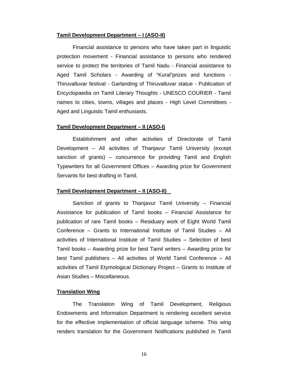#### **Tamil Development Department – I (ASO-II)**

Financial assistance to persons who have taken part in linguistic protection movement - Financial assistance to persons who rendered service to protect the territories of Tamil Nadu - Financial assistance to Aged Tamil Scholars - Awarding of "Kural"prizes and functions - Thiruvalluvar festival - Garlanding of Thiruvalluvar statue - Publication of Encyclopaedia on Tamil Literary Thoughts - UNESCO COURIER - Tamil names to cities, towns, villages and places - High Level Committees - Aged and Linguistic Tamil enthusiasts.

#### **Tamil Development Department – II (ASO-I)**

 Establishment and other activities of Directorate of Tamil Development – All activities of Thanjavur Tamil University (except sanction of grants) – concurrence for providing Tamil and English Typewriters for all Government Offices – Awarding prize for Government Servants for best drafting in Tamil.

#### **Tamil Development Department – II (ASO-II)**

 Sanction of grants to Thanjavur Tamil University – Financial Assistance for publication of Tamil books – Financial Assistance for publication of rare Tamil books – Residuary work of Eight World Tamil Conference – Grants to International Institute of Tamil Studies – All activities of International Institute of Tamil Studies – Selection of best Tamil books – Awarding prize for best Tamil writers – Awarding prize for best Tamil publishers – All activities of World Tamil Conference – All activities of Tamil Etymological Dictionary Project – Grants to Institute of Asian Studies – Miscellaneous.

#### **Translation Wing**

The Translation Wing of Tamil Development, Religious Endowments and Information Department is rendering excellent service for the effective implementation of official language scheme. This wing renders translation for the Government Notifications published in Tamil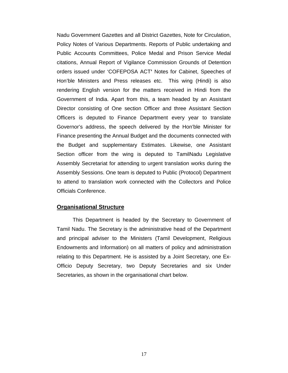Nadu Government Gazettes and all District Gazettes, Note for Circulation, Policy Notes of Various Departments. Reports of Public undertaking and Public Accounts Committees, Police Medal and Prison Service Medal citations, Annual Report of Vigilance Commission Grounds of Detention orders issued under 'COFEPOSA ACT**'** Notes for Cabinet, Speeches of Hon'ble Ministers and Press releases etc. This wing (Hindi) is also rendering English version for the matters received in Hindi from the Government of India. Apart from this, a team headed by an Assistant Director consisting of One section Officer and three Assistant Section Officers is deputed to Finance Department every year to translate Governor's address, the speech delivered by the Hon'ble Minister for Finance presenting the Annual Budget and the documents connected with the Budget and supplementary Estimates. Likewise, one Assistant Section officer from the wing is deputed to TamilNadu Legislative Assembly Secretariat for attending to urgent translation works during the Assembly Sessions. One team is deputed to Public (Protocol) Department to attend to translation work connected with the Collectors and Police Officials Conference.

#### **Organisational Structure**

This Department is headed by the Secretary to Government of Tamil Nadu. The Secretary is the administrative head of the Department and principal adviser to the Ministers (Tamil Development, Religious Endowments and Information) on all matters of policy and administration relating to this Department. He is assisted by a Joint Secretary, one Ex-Officio Deputy Secretary, two Deputy Secretaries and six Under Secretaries, as shown in the organisational chart below.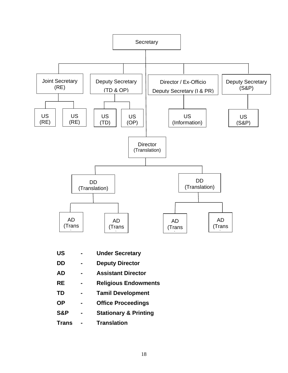

- **US Under Secretary**
- **DD Deputy Director**
- **AD Assistant Director**
- **RE Religious Endowments**
- **TD Tamil Development**
- **OP Office Proceedings**
- **S&P Stationary & Printing**
- **Trans Translation**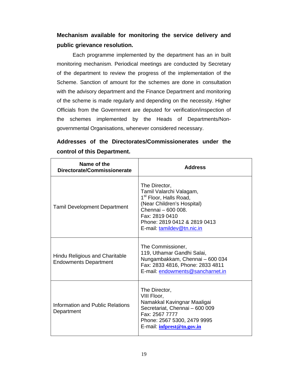### **Mechanism available for monitoring the service delivery and public grievance resolution.**

Each programme implemented by the department has an in built monitoring mechanism. Periodical meetings are conducted by Secretary of the department to review the progress of the implementation of the Scheme. Sanction of amount for the schemes are done in consultation with the advisory department and the Finance Department and monitoring of the scheme is made regularly and depending on the necessity. Higher Officials from the Government are deputed for verification/inspection of the schemes implemented by the Heads of Departments/Nongovernmental Organisations, whenever considered necessary.

**Addresses of the Directorates/Commissionerates under the control of this Department.** 

| Name of the<br>Directorate/Commissionerate                     | <b>Address</b>                                                                                                                                                                                                     |
|----------------------------------------------------------------|--------------------------------------------------------------------------------------------------------------------------------------------------------------------------------------------------------------------|
| <b>Tamil Development Department</b>                            | The Director,<br>Tamil Valarchi Valagam,<br>1 <sup>st</sup> Floor, Halls Road,<br>(Near Children's Hospital)<br>Chennai - 600 008.<br>Fax: 2819 0410<br>Phone: 2819 0412 & 2819 0413<br>E-mail: tamildev@tn.nic.in |
| Hindu Religious and Charitable<br><b>Endowments Department</b> | The Commissioner,<br>119, Uthamar Gandhi Salai,<br>Nungambakkam, Chennai - 600 034<br>Fax: 2833 4816, Phone: 2833 4811<br>E-mail: endowments@sancharnet.in                                                         |
| Information and Public Relations<br>Department                 | The Director,<br>VIII Floor,<br>Namakkal Kavingnar Maaligai<br>Secretariat, Chennai - 600 009<br>Fax: 2567 7777<br>Phone: 2567 5300, 2479 9995<br>E-mail: infprest@tn.gov.in                                       |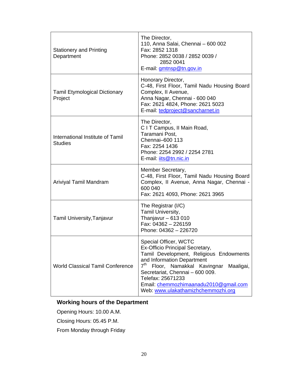| <b>Stationery and Printing</b><br>Department       | The Director,<br>110, Anna Salai, Chennai - 600 002<br>Fax: 2852 1318<br>Phone: 2852 0038 / 2852 0039 /<br>2852 0041<br>E-mail: gmtnsp@tn.gov.in                                                                                                                                                                                      |
|----------------------------------------------------|---------------------------------------------------------------------------------------------------------------------------------------------------------------------------------------------------------------------------------------------------------------------------------------------------------------------------------------|
| <b>Tamil Etymological Dictionary</b><br>Project    | Honorary Director,<br>C-48, First Floor, Tamil Nadu Housing Board<br>Complex, II Avenue,<br>Anna Nagar, Chennai - 600 040<br>Fax: 2621 4824, Phone: 2621 5023<br>E-mail: tedproject@sancharnet.in                                                                                                                                     |
| International Institute of Tamil<br><b>Studies</b> | The Director,<br>C I T Campus, II Main Road,<br>Taramani Post,<br>Chennai-600 113<br>Fax: 2254 1436<br>Phone: 2254 2992 / 2254 2781<br>E-mail: <i>its@tn.nic.in</i>                                                                                                                                                                   |
| Ariviyal Tamil Mandram                             | Member Secretary,<br>C-48, First Floor, Tamil Nadu Housing Board<br>Complex, Il Avenue, Anna Nagar, Chennai -<br>600 040<br>Fax: 2621 4093, Phone: 2621 3965                                                                                                                                                                          |
| Tamil University, Tanjavur                         | The Registrar (I/C)<br>Tamil University,<br>Thanjavur $-613010$<br>Fax: 04362 - 226159<br>Phone: 04362 - 226720                                                                                                                                                                                                                       |
| <b>World Classical Tamil Conference</b>            | Special Officer, WCTC<br>Ex-Officio Principal Secretary,<br>Tamil Development, Religious Endowments<br>and Information Department<br>7 <sup>th</sup><br>Floor, Namakkal Kavingnar<br>Maaligai,<br>Secretariat, Chennai - 600 009.<br>Telefax: 25671233<br>Email: chemmozhimaanadu2010@gmail.com<br>Web: www.ulakathamizhchemmozhi.org |

### **Working hours of the Department**

Opening Hours: 10.00 A.M.

Closing Hours: 05.45 P.M.

From Monday through Friday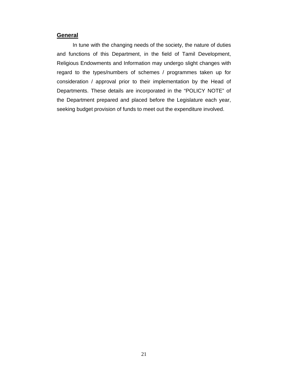#### **General**

In tune with the changing needs of the society, the nature of duties and functions of this Department, in the field of Tamil Development, Religious Endowments and Information may undergo slight changes with regard to the types/numbers of schemes / programmes taken up for consideration / approval prior to their implementation by the Head of Departments. These details are incorporated in the "POLICY NOTE" of the Department prepared and placed before the Legislature each year, seeking budget provision of funds to meet out the expenditure involved.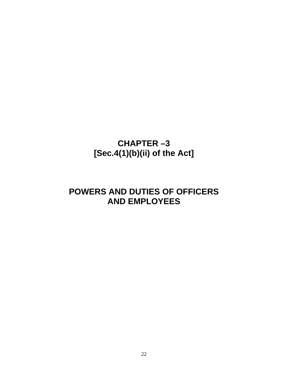### **CHAPTER –3 [Sec.4(1)(b)(ii) of the Act]**

### **POWERS AND DUTIES OF OFFICERS AND EMPLOYEES**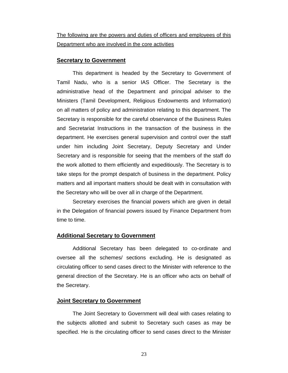The following are the powers and duties of officers and employees of this Department who are involved in the core activities

#### **Secretary to Government**

This department is headed by the Secretary to Government of Tamil Nadu, who is a senior IAS Officer. The Secretary is the administrative head of the Department and principal adviser to the Ministers (Tamil Development, Religious Endowments and Information) on all matters of policy and administration relating to this department. The Secretary is responsible for the careful observance of the Business Rules and Secretariat Instructions in the transaction of the business in the department. He exercises general supervision and control over the staff under him including Joint Secretary, Deputy Secretary and Under Secretary and is responsible for seeing that the members of the staff do the work allotted to them efficiently and expeditiously. The Secretary is to take steps for the prompt despatch of business in the department. Policy matters and all important matters should be dealt with in consultation with the Secretary who will be over all in charge of the Department.

Secretary exercises the financial powers which are given in detail in the Delegation of financial powers issued by Finance Department from time to time.

#### **Additional Secretary to Government**

Additional Secretary has been delegated to co-ordinate and oversee all the schemes/ sections excluding. He is designated as circulating officer to send cases direct to the Minister with reference to the general direction of the Secretary. He is an officer who acts on behalf of the Secretary.

#### **Joint Secretary to Government**

The Joint Secretary to Government will deal with cases relating to the subjects allotted and submit to Secretary such cases as may be specified. He is the circulating officer to send cases direct to the Minister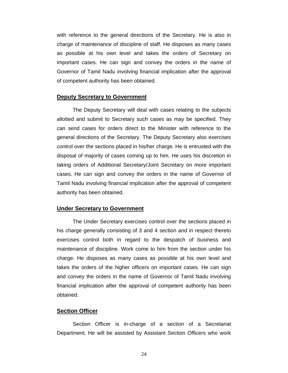with reference to the general directions of the Secretary. He is also in charge of maintenance of discipline of staff. He disposes as many cases as possible at his own level and takes the orders of Secretary on important cases. He can sign and convey the orders in the name of Governor of Tamil Nadu involving financial implication after the approval of competent authority has been obtained.

#### **Deputy Secretary to Government**

The Deputy Secretary will deal with cases relating to the subjects allotted and submit to Secretary such cases as may be specified. They can send cases for orders direct to the Minister with reference to the general directions of the Secretary. The Deputy Secretary also exercises control over the sections placed in his/her charge. He is entrusted with the disposal of majority of cases coming up to him. He uses his discretion in taking orders of Additional Secretary/Joint Secretary on more important cases. He can sign and convey the orders in the name of Governor of Tamil Nadu involving financial implication after the approval of competent authority has been obtained.

#### **Under Secretary to Government**

The Under Secretary exercises control over the sections placed in his charge generally consisting of 3 and 4 section and in respect thereto exercises control both in regard to the despatch of business and maintenance of discipline. Work come to him from the section under his charge. He disposes as many cases as possible at his own level and takes the orders of the higher officers on important cases. He can sign and convey the orders in the name of Governor of Tamil Nadu involving financial implication after the approval of competent authority has been obtained.

#### **Section Officer**

Section Officer is in-charge of a section of a Secretariat Department. He will be assisted by Assistant Section Officers who work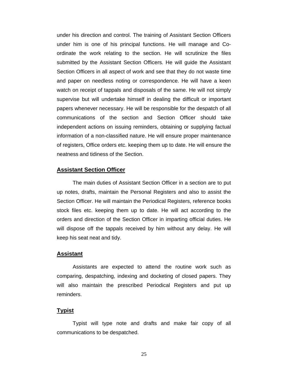under his direction and control. The training of Assistant Section Officers under him is one of his principal functions. He will manage and Coordinate the work relating to the section. He will scrutinize the files submitted by the Assistant Section Officers. He will guide the Assistant Section Officers in all aspect of work and see that they do not waste time and paper on needless noting or correspondence. He will have a keen watch on receipt of tappals and disposals of the same. He will not simply supervise but will undertake himself in dealing the difficult or important papers whenever necessary. He will be responsible for the despatch of all communications of the section and Section Officer should take independent actions on issuing reminders, obtaining or supplying factual information of a non-classified nature. He will ensure proper maintenance of registers, Office orders etc. keeping them up to date. He will ensure the neatness and tidiness of the Section.

#### **Assistant Section Officer**

The main duties of Assistant Section Officer in a section are to put up notes, drafts, maintain the Personal Registers and also to assist the Section Officer. He will maintain the Periodical Registers, reference books stock files etc. keeping them up to date. He will act according to the orders and direction of the Section Officer in imparting official duties. He will dispose off the tappals received by him without any delay. He will keep his seat neat and tidy.

#### **Assistant**

Assistants are expected to attend the routine work such as comparing, despatching, indexing and docketing of closed papers. They will also maintain the prescribed Periodical Registers and put up reminders.

#### **Typist**

Typist will type note and drafts and make fair copy of all communications to be despatched.

25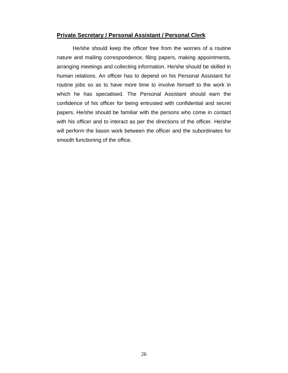#### **Private Secretary / Personal Assistant / Personal Clerk**

He/she should keep the officer free from the worries of a routine nature and mailing correspondence, filing papers, making appointments, arranging meetings and collecting information. He/she should be skilled in human relations. An officer has to depend on his Personal Assistant for routine jobs so as to have more time to involve himself to the work in which he has specialised. The Personal Assistant should earn the confidence of his officer for being entrusted with confidential and secret papers. He/she should be familiar with the persons who come in contact with his officer and to interact as per the directions of the officer. He/she will perform the liason work between the officer and the subordinates for smooth functioning of the office.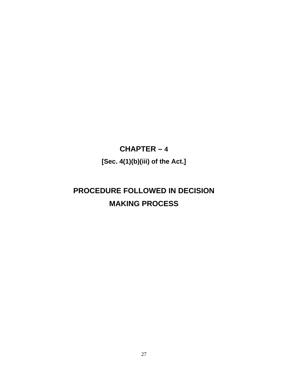### **CHAPTER – 4 [Sec. 4(1)(b)(iii) of the Act.]**

### **PROCEDURE FOLLOWED IN DECISION MAKING PROCESS**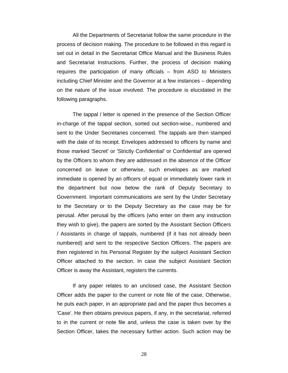All the Departments of Secretariat follow the same procedure in the process of decision making. The procedure to be followed in this regard is set out in detail in the Secretariat Office Manual and the Business Rules and Secretariat Instructions. Further, the process of decision making requires the participation of many officials – from ASO to Ministers including Chief Minister and the Governor at a few instances – depending on the nature of the issue involved. The procedure is elucidated in the following paragraphs.

The tappal / letter is opened in the presence of the Section Officer in-charge of the tappal section, sorted out section-wise., numbered and sent to the Under Secretaries concerned. The tappals are then stamped with the date of its receipt. Envelopes addressed to officers by name and those marked 'Secret' or 'Strictly Confidential' or Confidential' are opened by the Officers to whom they are addressed in the absence of the Officer concerned on leave or otherwise, such envelopes as are marked immediate is opened by an officers of equal or immediately lower rank in the department but now below the rank of Deputy Secretary to Government. Important communications are sent by the Under Secretary to the Secretary or to the Deputy Secretary as the case may be for perusal. After perusal by the officers (who enter on them any instruction they wish to give), the papers are sorted by the Assistant Section Officers / Assistants in charge of tappals, numbered (if it has not already been numbered) and sent to the respective Section Officers. The papers are then registered in his Personal Register by the subject Assistant Section Officer attached to the section. In case the subject Assistant Section Officer is away the Assistant, registers the currents.

If any paper relates to an unclosed case, the Assistant Section Officer adds the paper to the current or note file of the case, Otherwise, he puts each paper, in an appropriate pad and the paper thus becomes a 'Case'. He then obtains previous papers, if any, in the secretariat, referred to in the current or note file and, unless the case is taken over by the Section Officer, takes the necessary further action. Such action may be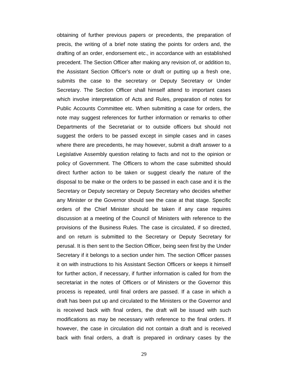obtaining of further previous papers or precedents, the preparation of precis, the writing of a brief note stating the points for orders and, the drafting of an order, endorsement etc., in accordance with an established precedent. The Section Officer after making any revision of, or addition to, the Assistant Section Officer's note or draft or putting up a fresh one, submits the case to the secretary or Deputy Secretary or Under Secretary. The Section Officer shall himself attend to important cases which involve interpretation of Acts and Rules, preparation of notes for Public Accounts Committee etc. When submitting a case for orders, the note may suggest references for further information or remarks to other Departments of the Secretariat or to outside officers but should not suggest the orders to be passed except in simple cases and in cases where there are precedents, he may however, submit a draft answer to a Legislative Assembly question relating to facts and not to the opinion or policy of Government. The Officers to whom the case submitted should direct further action to be taken or suggest clearly the nature of the disposal to be make or the orders to be passed in each case and it is the Secretary or Deputy secretary or Deputy Secretary who decides whether any Minister or the Governor should see the case at that stage. Specific orders of the Chief Minister should be taken if any case requires discussion at a meeting of the Council of Ministers with reference to the provisions of the Business Rules. The case is circulated, if so directed, and on return is submitted to the Secretary or Deputy Secretary for perusal. It is then sent to the Section Officer, being seen first by the Under Secretary if it belongs to a section under him. The section Officer passes it on with instructions to his Assistant Section Officers or keeps it himself for further action, if necessary, if further information is called for from the secretariat in the notes of Officers or of Ministers or the Governor this process is repeated, until final orders are passed. If a case in which a draft has been put up and circulated to the Ministers or the Governor and is received back with final orders, the draft will be issued with such modifications as may be necessary with reference to the final orders. If however, the case in circulation did not contain a draft and is received back with final orders, a draft is prepared in ordinary cases by the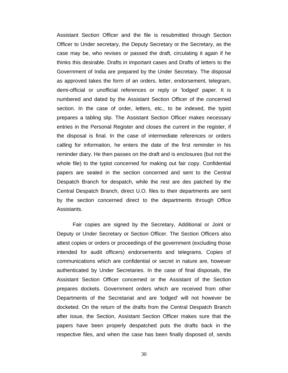Assistant Section Officer and the file is resubmitted through Section Officer to Under secretary, the Deputy Secretary or the Secretary, as the case may be, who revises or passed the draft, circulating it again if he thinks this desirable. Drafts in important cases and Drafts of letters to the Government of India are prepared by the Under Secretary. The disposal as approved takes the form of an orders, letter, endorsement, telegram, demi-official or unofficial references or reply or 'lodged' paper. It is numbered and dated by the Assistant Section Officer of the concerned section. In the case of order, letters, etc., to be indexed, the typist prepares a tabling slip. The Assistant Section Officer makes necessary entries in the Personal Register and closes the current in the register, if the disposal is final. In the case of intermediate references or orders calling for information, he enters the date of the first reminder in his reminder diary. He then passes on the draft and is enclosures (but not the whole file) to the typist concerned for making out fair copy. Confidential papers are sealed in the section concerned and sent to the Central Despatch Branch for despatch, while the rest are des patched by the Central Despatch Branch, direct U.O. files to their departments are sent by the section concerned direct to the departments through Office Assistants.

Fair copies are signed by the Secretary, Additional or Joint or Deputy or Under Secretary or Section Officer. The Section Officers also attest copies or orders or proceedings of the government (excluding those intended for audit officers) endorsements and telegrams. Copies of communications which are confidential or secret in nature are, however authenticated by Under Secretaries. In the case of final disposals, the Assistant Section Officer concerned or the Assistant of the Section prepares dockets. Government orders which are received from other Departments of the Secretariat and are 'lodged' will not however be docketed. On the return of the drafts from the Central Despatch Branch after issue, the Section, Assistant Section Officer makes sure that the papers have been properly despatched puts the drafts back in the respective files, and when the case has been finally disposed of, sends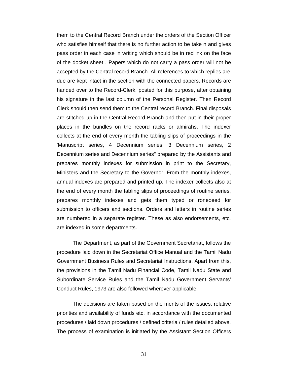them to the Central Record Branch under the orders of the Section Officer who satisfies himself that there is no further action to be take n and gives pass order in each case in writing which should be in red ink on the face of the docket sheet . Papers which do not carry a pass order will not be accepted by the Central record Branch. All references to which replies are due are kept intact in the section with the connected papers. Records are handed over to the Record-Clerk, posted for this purpose, after obtaining his signature in the last column of the Personal Register. Then Record Clerk should then send them to the Central record Branch. Final disposals are stitched up in the Central Record Branch and then put in their proper places in the bundles on the record racks or almirahs. The indexer collects at the end of every month the tabling slips of proceedings in the 'Manuscript series, 4 Decennium series, 3 Decennium series, 2 Decennium series and Decennium series" prepared by the Assistants and prepares monthly indexes for submission in print to the Secretary, Ministers and the Secretary to the Governor. From the monthly indexes, annual indexes are prepared and printed up. The indexer collects also at the end of every month the tabling slips of proceedings of routine series, prepares monthly indexes and gets them typed or roneoeed for submission to officers and sections. Orders and letters in routine series are numbered in a separate register. These as also endorsements, etc. are indexed in some departments.

The Department, as part of the Government Secretariat, follows the procedure laid down in the Secretariat Office Manual and the Tamil Nadu Government Business Rules and Secretariat Instructions. Apart from this, the provisions in the Tamil Nadu Financial Code, Tamil Nadu State and Subordinate Service Rules and the Tamil Nadu Government Servants' Conduct Rules, 1973 are also followed wherever applicable.

The decisions are taken based on the merits of the issues, relative priorities and availability of funds etc. in accordance with the documented procedures / laid down procedures / defined criteria / rules detailed above. The process of examination is initiated by the Assistant Section Officers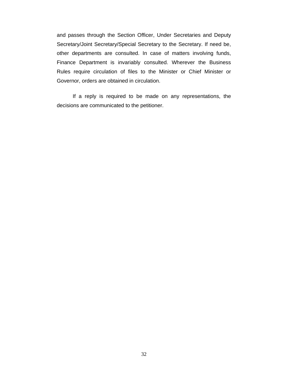and passes through the Section Officer, Under Secretaries and Deputy Secretary/Joint Secretary/Special Secretary to the Secretary. If need be, other departments are consulted. In case of matters involving funds, Finance Department is invariably consulted. Wherever the Business Rules require circulation of files to the Minister or Chief Minister or Governor, orders are obtained in circulation.

If a reply is required to be made on any representations, the decisions are communicated to the petitioner.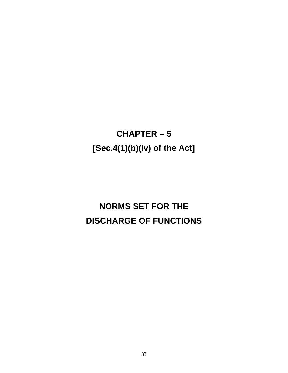## **CHAPTER – 5 [Sec.4(1)(b)(iv) of the Act]**

## **NORMS SET FOR THE DISCHARGE OF FUNCTIONS**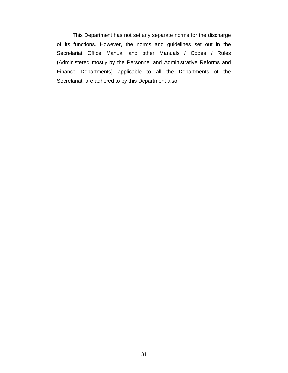This Department has not set any separate norms for the discharge of its functions. However, the norms and guidelines set out in the Secretariat Office Manual and other Manuals / Codes / Rules (Administered mostly by the Personnel and Administrative Reforms and Finance Departments) applicable to all the Departments of the Secretariat, are adhered to by this Department also.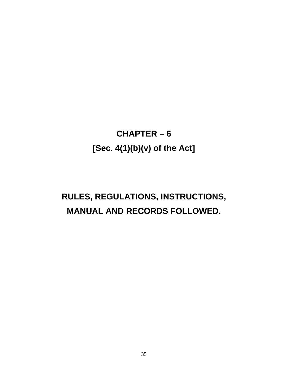## **CHAPTER – 6 [Sec. 4(1)(b)(v) of the Act]**

## **RULES, REGULATIONS, INSTRUCTIONS, MANUAL AND RECORDS FOLLOWED.**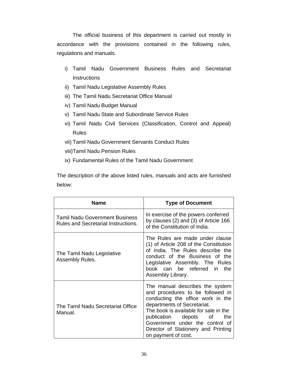The official business of this department is carried out mostly in accordance with the provisions contained in the following rules, regulations and manuals.

- i) Tamil Nadu Government Business Rules and Secretariat **Instructions**
- ii) Tamil Nadu Legislative Assembly Rules
- iii) The Tamil Nadu Secretariat Office Manual
- iv) Tamil Nadu Budget Manual
- v) Tamil Nadu State and Subordinate Service Rules
- vi) Tamil Nadu Civil Services (Classification, Control and Appeal) Rules
- vii) Tamil Nadu Government Servants Conduct Rules
- viii)Tamil Nadu Pension Rules
- ix) Fundamental Rules of the Tamil Nadu Government

The description of the above listed rules, manuals and acts are furnished below:

| <b>Name</b>                                                                         | <b>Type of Document</b>                                                                                                                                                                                                                                                                                           |  |
|-------------------------------------------------------------------------------------|-------------------------------------------------------------------------------------------------------------------------------------------------------------------------------------------------------------------------------------------------------------------------------------------------------------------|--|
| <b>Tamil Nadu Government Business</b><br><b>Rules and Secretariat Instructions.</b> | In exercise of the powers conferred<br>by clauses $(2)$ and $(3)$ of Article 166<br>of the Constitution of India.                                                                                                                                                                                                 |  |
| The Tamil Nadu Legislative<br>Assembly Rules.                                       | The Rules are made under clause<br>(1) of Article 208 of the Constitution<br>of India. The Rules describe the<br>conduct of the Business of the<br>Legislative Assembly. The Rules<br>book can be referred in the<br>Assembly Library.                                                                            |  |
| The Tamil Nadu Secretariat Office<br>Manual.                                        | The manual describes the system<br>and procedures to be followed in<br>conducting the office work in the<br>departments of Secretariat.<br>The book is available for sale in the<br>publication depots of<br>the<br>Government under the control of<br>Director of Stationery and Printing<br>on payment of cost. |  |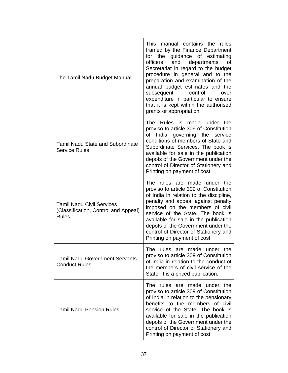| The Tamil Nadu Budget Manual.                                                      | This manual contains the rules<br>framed by the Finance Department<br>the guidance of estimating<br>for<br>and departments<br>officers<br>οf<br>Secretariat in regard to the budget<br>procedure in general and to the<br>preparation and examination of the<br>annual budget estimates and the<br>subsequent<br>control<br>over<br>expenditure in particular to ensure<br>that it is kept within the authorised<br>grants or appropriation. |
|------------------------------------------------------------------------------------|----------------------------------------------------------------------------------------------------------------------------------------------------------------------------------------------------------------------------------------------------------------------------------------------------------------------------------------------------------------------------------------------------------------------------------------------|
| <b>Tamil Nadu State and Subordinate</b><br>Service Rules.                          | The Rules is made under the<br>proviso to article 309 of Constitution<br>India governing the<br>of<br>service<br>conditions of members of State and<br>Subordinate Services. The book is<br>available for sale in the publication<br>depots of the Government under the<br>control of Director of Stationery and<br>Printing on payment of cost.                                                                                             |
| <b>Tamil Nadu Civil Services</b><br>(Classification, Control and Appeal)<br>Rules. | The rules are made under the<br>proviso to article 309 of Constitution<br>of India in relation to the discipline,<br>penalty and appeal against penalty<br>imposed on the members of civil<br>service of the State. The book is<br>available for sale in the publication<br>depots of the Government under the<br>control of Director of Stationery and<br>Printing on payment of cost.                                                      |
| <b>Tamil Nadu Government Servants</b><br><b>Conduct Rules.</b>                     | The rules are made under the<br>proviso to article 309 of Constitution<br>of India in relation to the conduct of<br>the members of civil service of the<br>State. It is a priced publication.                                                                                                                                                                                                                                                |
| <b>Tamil Nadu Pension Rules.</b>                                                   | The rules are made under the<br>proviso to article 309 of Constitution<br>of India in relation to the pensionary<br>benefits to the members of civil<br>service of the State. The book is<br>available for sale in the publication<br>depots of the Government under the<br>control of Director of Stationery and<br>Printing on payment of cost.                                                                                            |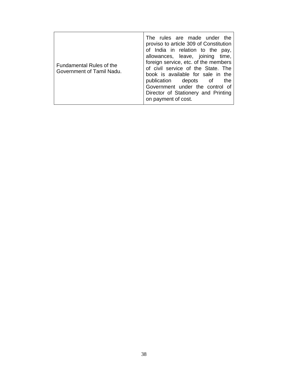| Fundamental Rules of the<br>Government of Tamil Nadu. | The rules are made under the<br>proviso to article 309 of Constitution<br>of India in relation to the pay,<br>allowances, leave, joining time,<br>foreign service, etc. of the members<br>of civil service of the State. The<br>book is available for sale in the<br>publication depots of<br>the<br>Government under the control of<br>Director of Stationery and Printing<br>on payment of cost. |
|-------------------------------------------------------|----------------------------------------------------------------------------------------------------------------------------------------------------------------------------------------------------------------------------------------------------------------------------------------------------------------------------------------------------------------------------------------------------|
|-------------------------------------------------------|----------------------------------------------------------------------------------------------------------------------------------------------------------------------------------------------------------------------------------------------------------------------------------------------------------------------------------------------------------------------------------------------------|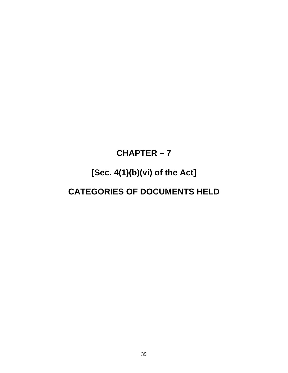### **CHAPTER – 7**

### **[Sec. 4(1)(b)(vi) of the Act]**

### **CATEGORIES OF DOCUMENTS HELD**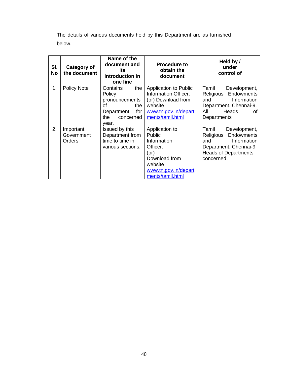The details of various documents held by this Department are as furnished below.

| SI.<br>No | Category of<br>the document       | Name of the<br>document and<br>its<br>introduction in<br>one line                                          | <b>Procedure to</b><br>obtain the<br>document                                                                                             | Held by /<br>under<br>control of                                                                                                             |
|-----------|-----------------------------------|------------------------------------------------------------------------------------------------------------|-------------------------------------------------------------------------------------------------------------------------------------------|----------------------------------------------------------------------------------------------------------------------------------------------|
| 1.        | <b>Policy Note</b>                | the<br>Contains<br>Policy<br>pronouncements<br>οf<br>the<br>for<br>Department<br>the<br>concerned<br>year. | Application to Public<br>Information Officer.<br>(or) Download from<br>website<br>www.tn.gov.in/depart<br>ments/tamil.html                | Tamil<br>Development,<br>Religious Endowments<br>Information<br>and<br>Department, Chennai-9.<br>Heads<br>All<br>οf<br>Departments           |
| 2.        | Important<br>Government<br>Orders | Issued by this<br>Department from<br>time to time in<br>various sections.                                  | Application to<br>Public<br>Information<br>Officer.<br>$($ or $)$<br>Download from<br>website<br>www.tn.gov.in/depart<br>ments/tamil.html | Tamil<br>Development,<br>Endowments<br>Religious<br>Information<br>and<br>Department, Chennai-9<br><b>Heads of Departments</b><br>concerned. |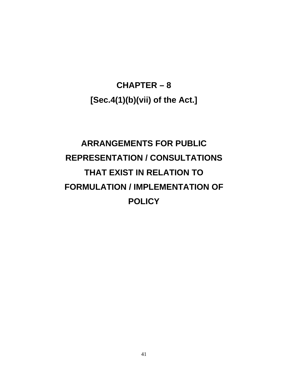**CHAPTER – 8 [Sec.4(1)(b)(vii) of the Act.]** 

# **ARRANGEMENTS FOR PUBLIC REPRESENTATION / CONSULTATIONS THAT EXIST IN RELATION TO FORMULATION / IMPLEMENTATION OF POLICY**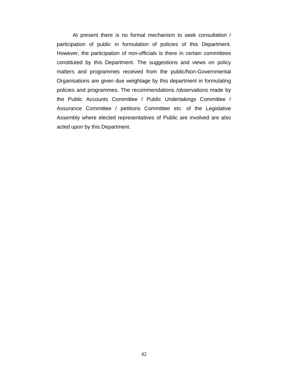At present there is no formal mechanism to seek consultation / participation of public in formulation of policies of this Department. However, the participation of non-officials is there in certain committees constituted by this Department. The suggestions and views on policy matters and programmes received from the public/Non-Governmental Organisations are given due weightage by this department in formulating policies and programmes. The recommendations /observations made by the Public Accounts Committee / Public Undertakings Committee / Assurance Committee / petitions Committee etc. of the Legislative Assembly where elected representatives of Public are involved are also acted upon by this Department.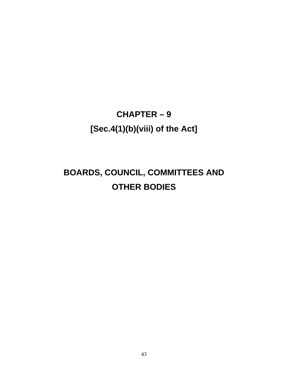## **CHAPTER – 9 [Sec.4(1)(b)(viii) of the Act]**

## **BOARDS, COUNCIL, COMMITTEES AND OTHER BODIES**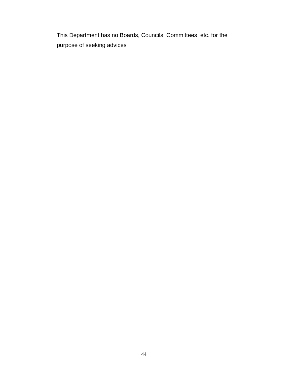This Department has no Boards, Councils, Committees, etc. for the purpose of seeking advices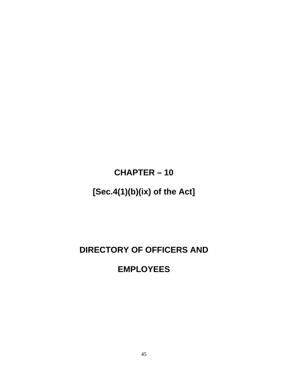**CHAPTER – 10** 

### **[Sec.4(1)(b)(ix) of the Act]**

### **DIRECTORY OF OFFICERS AND**

### **EMPLOYEES**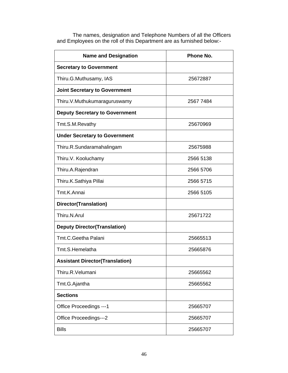| <b>Name and Designation</b>            | Phone No. |  |
|----------------------------------------|-----------|--|
| <b>Secretary to Government</b>         |           |  |
| Thiru.G.Muthusamy, IAS                 | 25672887  |  |
| <b>Joint Secretary to Government</b>   |           |  |
| Thiru.V.Muthukumaraguruswamy           | 2567 7484 |  |
| <b>Deputy Secretary to Government</b>  |           |  |
| Tmt.S.M.Revathy                        | 25670969  |  |
| <b>Under Secretary to Government</b>   |           |  |
| Thiru.R.Sundaramahalingam              | 25675988  |  |
| Thiru.V. Kooluchamy                    | 2566 5138 |  |
| Thiru.A.Rajendran                      | 2566 5706 |  |
| Thiru.K.Sathiya Pillai                 | 2566 5715 |  |
| Tmt.K.Annai                            | 2566 5105 |  |
| Director(Translation)                  |           |  |
| Thiru.N.Arul                           | 25671722  |  |
| <b>Deputy Director(Translation)</b>    |           |  |
| Tmt.C.Geetha Palani                    | 25665513  |  |
| Tmt.S.Hemelatha                        | 25665876  |  |
| <b>Assistant Director(Translation)</b> |           |  |
| Thiru.R.Velumani                       | 25665562  |  |
| Tmt.G.Ajantha                          | 25665562  |  |
| <b>Sections</b>                        |           |  |
| Office Proceedings --- 1               | 25665707  |  |
| Office Proceedings---2                 | 25665707  |  |
| <b>Bills</b>                           | 25665707  |  |

The names, designation and Telephone Numbers of all the Officers and Employees on the roll of this Department are as furnished below:-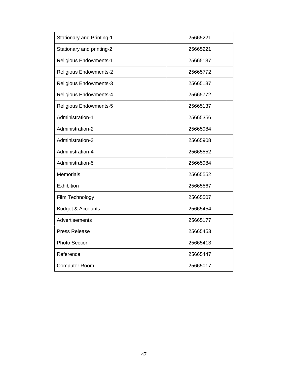| <b>Stationary and Printing-1</b> | 25665221 |
|----------------------------------|----------|
| Stationary and printing-2        | 25665221 |
| <b>Religious Endowments-1</b>    | 25665137 |
| <b>Religious Endowments-2</b>    | 25665772 |
| <b>Religious Endowments-3</b>    | 25665137 |
| <b>Religious Endowments-4</b>    | 25665772 |
| Religious Endowments-5           | 25665137 |
| Administration-1                 | 25665356 |
| Administration-2                 | 25665984 |
| Administration-3                 | 25665908 |
| Administration-4                 | 25665552 |
| Administration-5                 | 25665984 |
| <b>Memorials</b>                 | 25665552 |
| Exhibition                       | 25665567 |
| Film Technology                  | 25665507 |
| <b>Budget &amp; Accounts</b>     | 25665454 |
| Advertisements                   | 25665177 |
| <b>Press Release</b>             | 25665453 |
| <b>Photo Section</b>             | 25665413 |
| Reference                        | 25665447 |
| <b>Computer Room</b>             | 25665017 |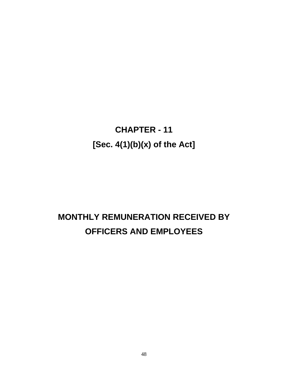**CHAPTER - 11 [Sec. 4(1)(b)(x) of the Act]** 

## **MONTHLY REMUNERATION RECEIVED BY OFFICERS AND EMPLOYEES**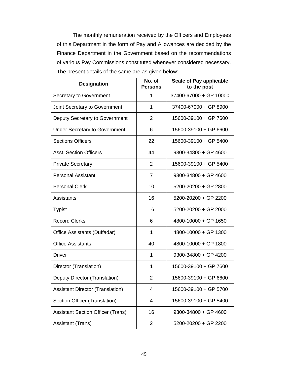The monthly remuneration received by the Officers and Employees of this Department in the form of Pay and Allowances are decided by the Finance Department in the Government based on the recommendations of various Pay Commissions constituted whenever considered necessary. The present details of the same are as given below:

| <b>Designation</b>                       | No. of<br><b>Persons</b> | <b>Scale of Pay applicable</b><br>to the post |
|------------------------------------------|--------------------------|-----------------------------------------------|
| Secretary to Government                  | 1                        | 37400-67000 + GP 10000                        |
| Joint Secretary to Government            | 1                        | 37400-67000 + GP 8900                         |
| Deputy Secretary to Government           | 2                        | 15600-39100 + GP 7600                         |
| <b>Under Secretary to Government</b>     | 6                        | 15600-39100 + GP 6600                         |
| <b>Sections Officers</b>                 | 22                       | 15600-39100 + GP 5400                         |
| <b>Asst. Section Officers</b>            | 44                       | $9300 - 34800 + GP$ 4600                      |
| <b>Private Secretary</b>                 | $\overline{2}$           | 15600-39100 + GP 5400                         |
| <b>Personal Assistant</b>                | 7                        | 9300-34800 + GP 4600                          |
| <b>Personal Clerk</b>                    | 10                       | 5200-20200 + GP 2800                          |
| Assistants                               | 16                       | 5200-20200 + GP 2200                          |
| <b>Typist</b>                            | 16                       | 5200-20200 + GP 2000                          |
| <b>Record Clerks</b>                     | 6                        | 4800-10000 + GP 1650                          |
| Office Assistants (Duffadar)             | $\mathbf 1$              | 4800-10000 + GP 1300                          |
| <b>Office Assistants</b>                 | 40                       | 4800-10000 + GP 1800                          |
| Driver                                   | $\mathbf 1$              | $9300 - 34800 + GP$ 4200                      |
| Director (Translation)                   | 1                        | 15600-39100 + GP 7600                         |
| Deputy Director (Translation)            | 2                        | 15600-39100 + GP 6600                         |
| <b>Assistant Director (Translation)</b>  | 4                        | 15600-39100 + GP 5700                         |
| Section Officer (Translation)            | 4                        | 15600-39100 + GP 5400                         |
| <b>Assistant Section Officer (Trans)</b> | 16                       | 9300-34800 + GP 4600                          |
| Assistant (Trans)                        | $\overline{2}$           | 5200-20200 + GP 2200                          |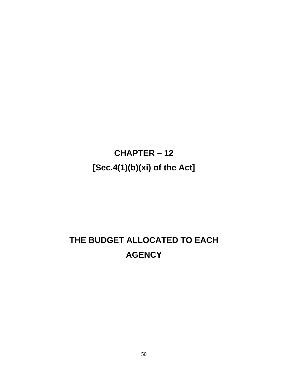# **CHAPTER – 12 [Sec.4(1)(b)(xi) of the Act]**

## **THE BUDGET ALLOCATED TO EACH AGENCY**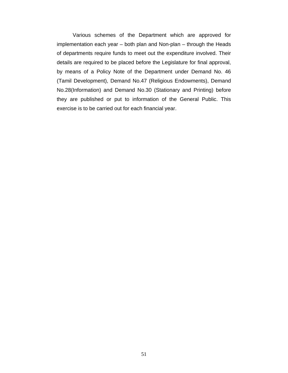Various schemes of the Department which are approved for implementation each year – both plan and Non-plan – through the Heads of departments require funds to meet out the expenditure involved. Their details are required to be placed before the Legislature for final approval, by means of a Policy Note of the Department under Demand No. 46 (Tamil Development), Demand No.47 (Religious Endowments), Demand No.28(Information) and Demand No.30 (Stationary and Printing) before they are published or put to information of the General Public. This exercise is to be carried out for each financial year.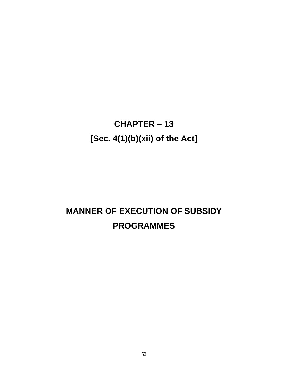# **CHAPTER – 13 [Sec. 4(1)(b)(xii) of the Act]**

## **MANNER OF EXECUTION OF SUBSIDY PROGRAMMES**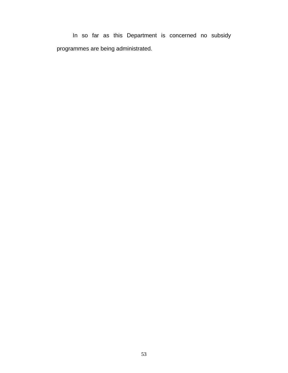In so far as this Department is concerned no subsidy programmes are being administrated.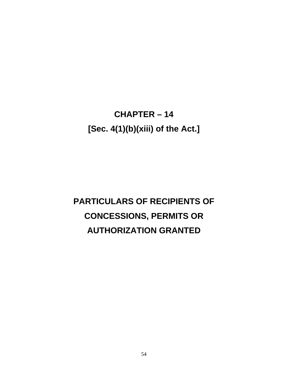## **CHAPTER – 14 [Sec. 4(1)(b)(xiii) of the Act.]**

# **PARTICULARS OF RECIPIENTS OF CONCESSIONS, PERMITS OR AUTHORIZATION GRANTED**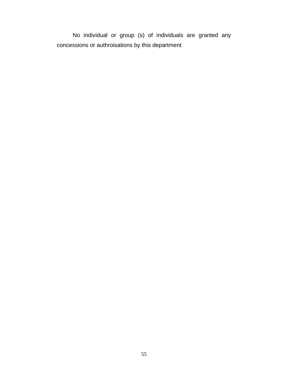No individual or group (s) of individuals are granted any concessions or authroisations by this department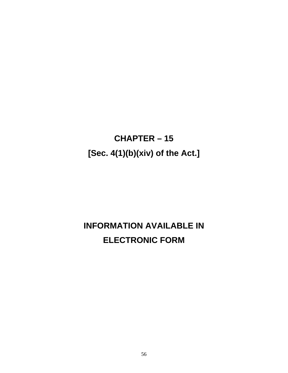## **CHAPTER – 15 [Sec. 4(1)(b)(xiv) of the Act.]**

### **INFORMATION AVAILABLE IN ELECTRONIC FORM**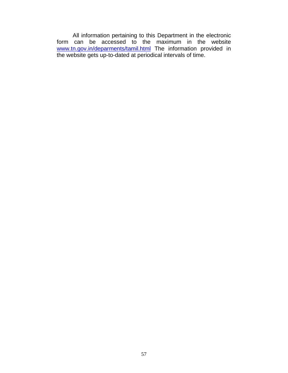All information pertaining to this Department in the electronic form can be accessed to the maximum in the website www.tn.gov.in/deparments/tamil.html The information provided in the website gets up-to-dated at periodical intervals of time.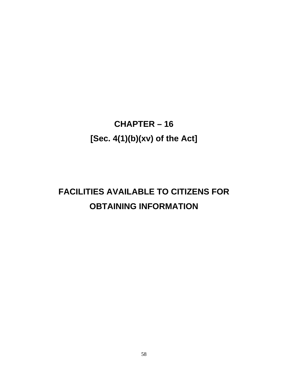## **CHAPTER – 16 [Sec. 4(1)(b)(xv) of the Act]**

## **FACILITIES AVAILABLE TO CITIZENS FOR OBTAINING INFORMATION**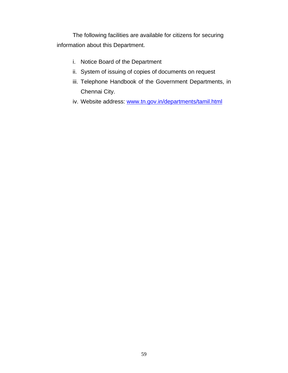The following facilities are available for citizens for securing information about this Department.

- i. Notice Board of the Department
- ii. System of issuing of copies of documents on request
- iii. Telephone Handbook of the Government Departments, in Chennai City.
- iv. Website address: www.tn.gov.in/departments/tamil.html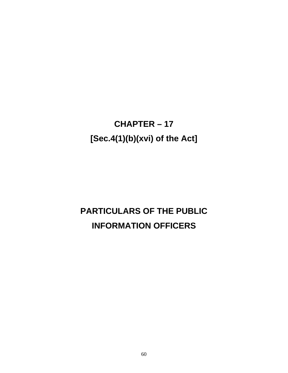## **CHAPTER – 17 [Sec.4(1)(b)(xvi) of the Act]**

## **PARTICULARS OF THE PUBLIC INFORMATION OFFICERS**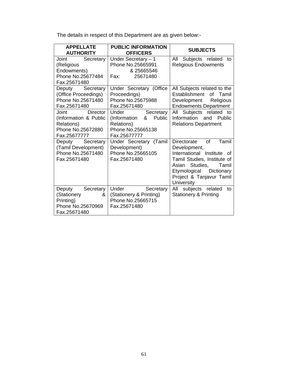The details in respect of this Department are as given below:-

| <b>APPELLATE</b><br><b>AUTHORITY</b>                                                                                                                                                  | <b>PUBLIC INFORMATION</b><br><b>OFFICERS</b>                                                                                                                                         | <b>SUBJECTS</b>                                                                                                                                                                                                          |
|---------------------------------------------------------------------------------------------------------------------------------------------------------------------------------------|--------------------------------------------------------------------------------------------------------------------------------------------------------------------------------------|--------------------------------------------------------------------------------------------------------------------------------------------------------------------------------------------------------------------------|
| Joint<br>Secretary<br>(Religious<br>Endowments)<br>Phone No.25677484<br>Fax.25671480                                                                                                  | Under Secretary - 1<br>Phone No.25665991<br>& 25665546<br>Fax:<br>25671480                                                                                                           | Subjects related<br>All<br>to<br><b>Religious Endowments</b>                                                                                                                                                             |
| Deputy Secretary<br>(Office Proceedings)<br>Phone No.25671480<br>Fax.25671480<br>Director<br>Joint<br>(Information & Public<br><b>Relations)</b><br>Phone No.25672880<br>Fax.25677777 | Under Secretary (Office<br>Proceedings)<br>Phone No.25675988<br>Fax.25671480<br>Secretary<br>Under<br>(Information<br>&<br>Public<br>Relations)<br>Phone No.25665138<br>Fax.25677777 | All Subjects related to the<br>Establishment<br>of Tamil<br>Development<br>Religious<br><b>Endowments Department</b><br>All Subjects related<br>to<br>Information<br>and<br>Public<br><b>Relations Department</b>        |
| Deputy Secretary<br>(Tamil Development)<br>Phone No.25671480<br>Fax.25671480                                                                                                          | Under Secretary (Tamil<br>Development)<br>Phone No.25665105<br>Fax.25671480                                                                                                          | of<br>Tamil<br><b>Directorate</b><br>Development,<br>International Institute of<br>Tamil Studies, Institute of<br>Asian Studies,<br>Tamil<br>Etymological<br>Dictionary<br>Project & Tanjavur Tamil<br><b>University</b> |
| Secretary<br>Deputy<br>(Stationery<br>&<br>Printing)<br>Phone No.25670969<br>Fax.25671480                                                                                             | Under<br>Secretary<br>(Stationery & Printing)<br>Phone No.25665715<br>Fax.25671480                                                                                                   | All subjects related<br>to<br><b>Stationery &amp; Printing</b>                                                                                                                                                           |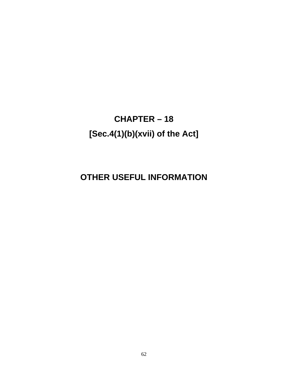## **CHAPTER – 18 [Sec.4(1)(b)(xvii) of the Act]**

### **OTHER USEFUL INFORMATION**